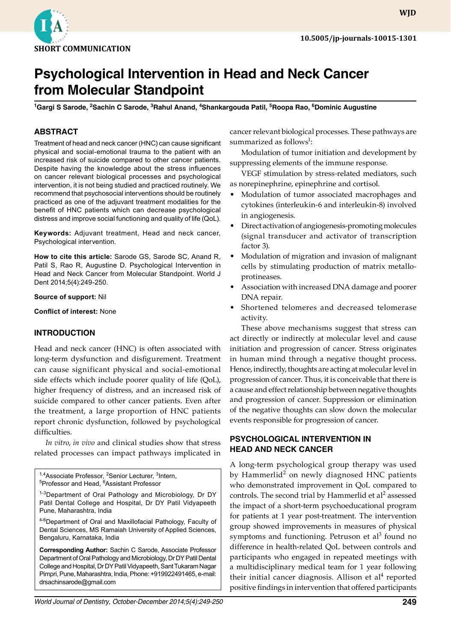

# **Psychological Intervention in Head and Neck Cancer from Molecular Standpoint**

<sup>1</sup>Gargi S Sarode, <sup>2</sup>Sachin C Sarode, <sup>3</sup>Rahul Anand, <sup>4</sup>Shankargouda Patil, <sup>5</sup>Roopa Rao, <sup>6</sup>Dominic Augustine

## **ABSTRACT**

Treatment of head and neck cancer (HNC) can cause significant physical and social-emotional trauma to the patient with an increased risk of suicide compared to other cancer patients. Despite having the knowledge about the stress influences on cancer relevant biological processes and psychological intervention, it is not being studied and practiced routinely. We recommend that psychosocial interventions should be routinely practiced as one of the adjuvant treatment modalities for the benefit of HNC patients which can decrease psychological distress and improve social functioning and quality of life (QoL).

**Keywords:** Adjuvant treatment, Head and neck cancer, Psychological intervention.

**How to cite this article:** Sarode GS, Sarode SC, Anand R, Patil S, Rao R, Augustine D. Psychological Intervention in Head and Neck Cancer from Molecular Standpoint. World J Dent 2014;5(4):249-250.

**Source of support:** Nil

**Conflict of interest:** None

#### **Introduction**

Head and neck cancer (HNC) is often associated with long-term dysfunction and disfigurement. Treatment can cause significant physical and social-emotional side effects which include poorer quality of life (QoL), higher frequency of distress, and an increased risk of suicide compared to other cancer patients. Even after the treatment, a large proportion of HNC patients report chronic dysfunction, followed by psychological difficulties.

*In vitro*, *in vivo* and clinical studies show that stress related processes can impact pathways implicated in

<sup>1,4</sup>Associate Professor, <sup>2</sup>Senior Lecturer, <sup>3</sup>Intern,<br><sup>5</sup>Professor and Head, <sup>6</sup>Assistant Professor Professor and Head, <sup>6</sup>Assistant Professor <sup>1-3</sup>Department of Oral Pathology and Microbiology, Dr DY Patil Dental College and Hospital, Dr DY Patil Vidyapeeth Pune, Maharashtra, India 4-6Department of Oral and Maxillofacial Pathology, Faculty of Dental Sciences, MS Ramaiah University of Applied Sciences, Bengaluru, Karnataka, India

**Corresponding Author:** Sachin C Sarode, Associate Professor Department of Oral Pathology and Microbiology, Dr DY Patil Dental College and Hospital, Dr DY Patil Vidyapeeth, Sant Tukaram Nagar Pimpri, Pune, Maharashtra, India, Phone: +919922491465, e-mail: drsachinsarode@gmail.com

cancer relevant biological processes. These pathways are summarized as follows $^1$ :

Modulation of tumor initiation and development by suppressing elements of the immune response.

VEGF stimulation by stress-related mediators, such as norepinephrine, epinephrine and cortisol.

- Modulation of tumor associated macrophages and cytokines (interleukin-6 and interleukin-8) involved in angiogenesis.
- Direct activation of angiogenesis-promoting molecules (signal transducer and activator of transcription factor 3).
- Modulation of migration and invasion of malignant cells by stimulating production of matrix metalloprotineases.
- Association with increased DNA damage and poorer DNA repair.
- Shortened telomeres and decreased telomerase activity.

These above mechanisms suggest that stress can act directly or indirectly at molecular level and cause initiation and progression of cancer. Stress originates in human mind through a negative thought process. Hence, indirectly, thoughts are acting at molecular level in progression of cancer. Thus, it is conceivable that there is a cause and effect relationship between negative thoughts and progression of cancer. Suppression or elimination of the negative thoughts can slow down the molecular events responsible for progression of cancer.

### **Psychological Intervention in Head and Neck Cancer**

A long-term psychological group therapy was used by Hammerlid<sup>2</sup> on newly diagnosed HNC patients who demonstrated improvement in QoL compared to controls. The second trial by Hammerlid et  $al^2$  assessed the impact of a short-term psychoeducational program for patients at 1 year post-treatment. The intervention group showed improvements in measures of physical symptoms and functioning. Petruson et al<sup>3</sup> found no difference in health-related QoL between controls and participants who engaged in repeated meetings with a multidisciplinary medical team for 1 year following their initial cancer diagnosis. Allison et al<sup>4</sup> reported positive findings in intervention that offered participants